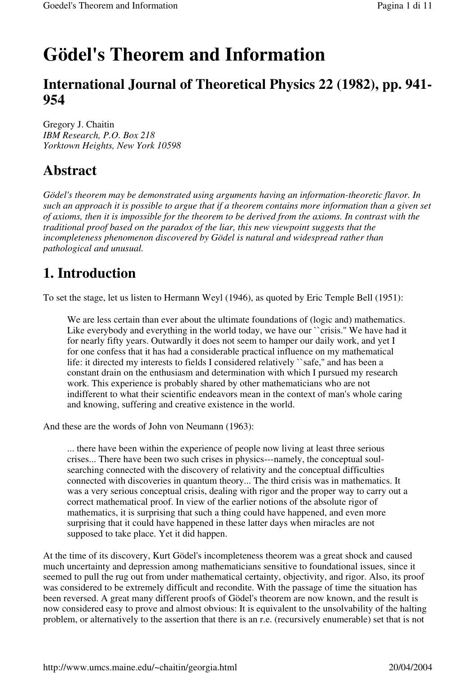# **Gödel's Theorem and Information**

## **International Journal of Theoretical Physics 22 (1982), pp. 941- 954**

Gregory J. Chaitin *IBM Research, P.O. Box 218 Yorktown Heights, New York 10598*

## **Abstract**

*Gödel's theorem may be demonstrated using arguments having an information-theoretic flavor. In such an approach it is possible to argue that if a theorem contains more information than a given set of axioms, then it is impossible for the theorem to be derived from the axioms. In contrast with the traditional proof based on the paradox of the liar, this new viewpoint suggests that the incompleteness phenomenon discovered by Gödel is natural and widespread rather than pathological and unusual.* 

## **1. Introduction**

To set the stage, let us listen to Hermann Weyl (1946), as quoted by Eric Temple Bell (1951):

We are less certain than ever about the ultimate foundations of (logic and) mathematics. Like everybody and everything in the world today, we have our "crisis." We have had it for nearly fifty years. Outwardly it does not seem to hamper our daily work, and yet I for one confess that it has had a considerable practical influence on my mathematical life: it directed my interests to fields I considered relatively ``safe,'' and has been a constant drain on the enthusiasm and determination with which I pursued my research work. This experience is probably shared by other mathematicians who are not indifferent to what their scientific endeavors mean in the context of man's whole caring and knowing, suffering and creative existence in the world.

And these are the words of John von Neumann (1963):

... there have been within the experience of people now living at least three serious crises... There have been two such crises in physics---namely, the conceptual soulsearching connected with the discovery of relativity and the conceptual difficulties connected with discoveries in quantum theory... The third crisis was in mathematics. It was a very serious conceptual crisis, dealing with rigor and the proper way to carry out a correct mathematical proof. In view of the earlier notions of the absolute rigor of mathematics, it is surprising that such a thing could have happened, and even more surprising that it could have happened in these latter days when miracles are not supposed to take place. Yet it did happen.

At the time of its discovery, Kurt Gödel's incompleteness theorem was a great shock and caused much uncertainty and depression among mathematicians sensitive to foundational issues, since it seemed to pull the rug out from under mathematical certainty, objectivity, and rigor. Also, its proof was considered to be extremely difficult and recondite. With the passage of time the situation has been reversed. A great many different proofs of Gödel's theorem are now known, and the result is now considered easy to prove and almost obvious: It is equivalent to the unsolvability of the halting problem, or alternatively to the assertion that there is an r.e. (recursively enumerable) set that is not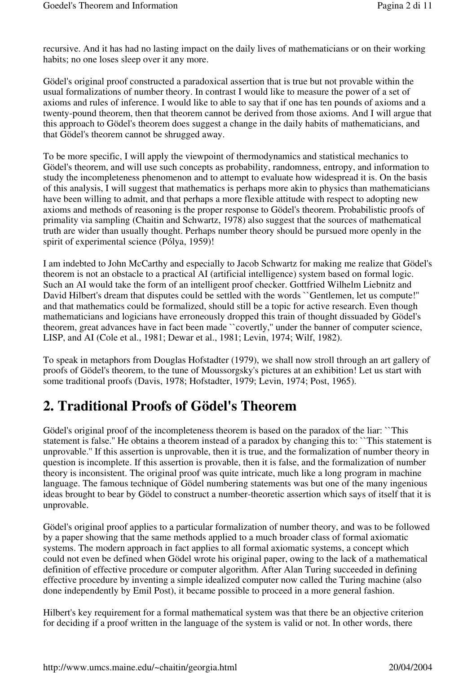recursive. And it has had no lasting impact on the daily lives of mathematicians or on their working habits; no one loses sleep over it any more.

Gödel's original proof constructed a paradoxical assertion that is true but not provable within the usual formalizations of number theory. In contrast I would like to measure the power of a set of axioms and rules of inference. I would like to able to say that if one has ten pounds of axioms and a twenty-pound theorem, then that theorem cannot be derived from those axioms. And I will argue that this approach to Gödel's theorem does suggest a change in the daily habits of mathematicians, and that Gödel's theorem cannot be shrugged away.

To be more specific, I will apply the viewpoint of thermodynamics and statistical mechanics to Gödel's theorem, and will use such concepts as probability, randomness, entropy, and information to study the incompleteness phenomenon and to attempt to evaluate how widespread it is. On the basis of this analysis, I will suggest that mathematics is perhaps more akin to physics than mathematicians have been willing to admit, and that perhaps a more flexible attitude with respect to adopting new axioms and methods of reasoning is the proper response to Gödel's theorem. Probabilistic proofs of primality via sampling (Chaitin and Schwartz, 1978) also suggest that the sources of mathematical truth are wider than usually thought. Perhaps number theory should be pursued more openly in the spirit of experimental science (Pólya, 1959)!

I am indebted to John McCarthy and especially to Jacob Schwartz for making me realize that Gödel's theorem is not an obstacle to a practical AI (artificial intelligence) system based on formal logic. Such an AI would take the form of an intelligent proof checker. Gottfried Wilhelm Liebnitz and David Hilbert's dream that disputes could be settled with the words ``Gentlemen, let us compute!'' and that mathematics could be formalized, should still be a topic for active research. Even though mathematicians and logicians have erroneously dropped this train of thought dissuaded by Gödel's theorem, great advances have in fact been made ``covertly,'' under the banner of computer science, LISP, and AI (Cole et al., 1981; Dewar et al., 1981; Levin, 1974; Wilf, 1982).

To speak in metaphors from Douglas Hofstadter (1979), we shall now stroll through an art gallery of proofs of Gödel's theorem, to the tune of Moussorgsky's pictures at an exhibition! Let us start with some traditional proofs (Davis, 1978; Hofstadter, 1979; Levin, 1974; Post, 1965).

## **2. Traditional Proofs of Gödel's Theorem**

Gödel's original proof of the incompleteness theorem is based on the paradox of the liar: ``This statement is false.'' He obtains a theorem instead of a paradox by changing this to: ``This statement is unprovable.'' If this assertion is unprovable, then it is true, and the formalization of number theory in question is incomplete. If this assertion is provable, then it is false, and the formalization of number theory is inconsistent. The original proof was quite intricate, much like a long program in machine language. The famous technique of Gödel numbering statements was but one of the many ingenious ideas brought to bear by Gödel to construct a number-theoretic assertion which says of itself that it is unprovable.

Gödel's original proof applies to a particular formalization of number theory, and was to be followed by a paper showing that the same methods applied to a much broader class of formal axiomatic systems. The modern approach in fact applies to all formal axiomatic systems, a concept which could not even be defined when Gödel wrote his original paper, owing to the lack of a mathematical definition of effective procedure or computer algorithm. After Alan Turing succeeded in defining effective procedure by inventing a simple idealized computer now called the Turing machine (also done independently by Emil Post), it became possible to proceed in a more general fashion.

Hilbert's key requirement for a formal mathematical system was that there be an objective criterion for deciding if a proof written in the language of the system is valid or not. In other words, there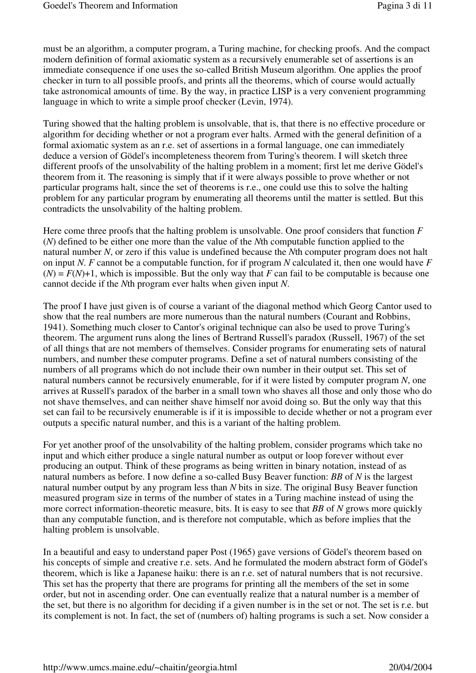must be an algorithm, a computer program, a Turing machine, for checking proofs. And the compact modern definition of formal axiomatic system as a recursively enumerable set of assertions is an immediate consequence if one uses the so-called British Museum algorithm. One applies the proof checker in turn to all possible proofs, and prints all the theorems, which of course would actually take astronomical amounts of time. By the way, in practice LISP is a very convenient programming language in which to write a simple proof checker (Levin, 1974).

Turing showed that the halting problem is unsolvable, that is, that there is no effective procedure or algorithm for deciding whether or not a program ever halts. Armed with the general definition of a formal axiomatic system as an r.e. set of assertions in a formal language, one can immediately deduce a version of Gödel's incompleteness theorem from Turing's theorem. I will sketch three different proofs of the unsolvability of the halting problem in a moment; first let me derive Gödel's theorem from it. The reasoning is simply that if it were always possible to prove whether or not particular programs halt, since the set of theorems is r.e., one could use this to solve the halting problem for any particular program by enumerating all theorems until the matter is settled. But this contradicts the unsolvability of the halting problem.

Here come three proofs that the halting problem is unsolvable. One proof considers that function *F* (*N*) defined to be either one more than the value of the *N*th computable function applied to the natural number *N*, or zero if this value is undefined because the *N*th computer program does not halt on input *N*. *F* cannot be a computable function, for if program *N* calculated it, then one would have *F*  $(N) = F(N)+1$ , which is impossible. But the only way that *F* can fail to be computable is because one cannot decide if the *N*th program ever halts when given input *N*.

The proof I have just given is of course a variant of the diagonal method which Georg Cantor used to show that the real numbers are more numerous than the natural numbers (Courant and Robbins, 1941). Something much closer to Cantor's original technique can also be used to prove Turing's theorem. The argument runs along the lines of Bertrand Russell's paradox (Russell, 1967) of the set of all things that are not members of themselves. Consider programs for enumerating sets of natural numbers, and number these computer programs. Define a set of natural numbers consisting of the numbers of all programs which do not include their own number in their output set. This set of natural numbers cannot be recursively enumerable, for if it were listed by computer program *N*, one arrives at Russell's paradox of the barber in a small town who shaves all those and only those who do not shave themselves, and can neither shave himself nor avoid doing so. But the only way that this set can fail to be recursively enumerable is if it is impossible to decide whether or not a program ever outputs a specific natural number, and this is a variant of the halting problem.

For yet another proof of the unsolvability of the halting problem, consider programs which take no input and which either produce a single natural number as output or loop forever without ever producing an output. Think of these programs as being written in binary notation, instead of as natural numbers as before. I now define a so-called Busy Beaver function: *BB* of *N* is the largest natural number output by any program less than *N* bits in size. The original Busy Beaver function measured program size in terms of the number of states in a Turing machine instead of using the more correct information-theoretic measure, bits. It is easy to see that *BB* of *N* grows more quickly than any computable function, and is therefore not computable, which as before implies that the halting problem is unsolvable.

In a beautiful and easy to understand paper Post (1965) gave versions of Gödel's theorem based on his concepts of simple and creative r.e. sets. And he formulated the modern abstract form of Gödel's theorem, which is like a Japanese haiku: there is an r.e. set of natural numbers that is not recursive. This set has the property that there are programs for printing all the members of the set in some order, but not in ascending order. One can eventually realize that a natural number is a member of the set, but there is no algorithm for deciding if a given number is in the set or not. The set is r.e. but its complement is not. In fact, the set of (numbers of) halting programs is such a set. Now consider a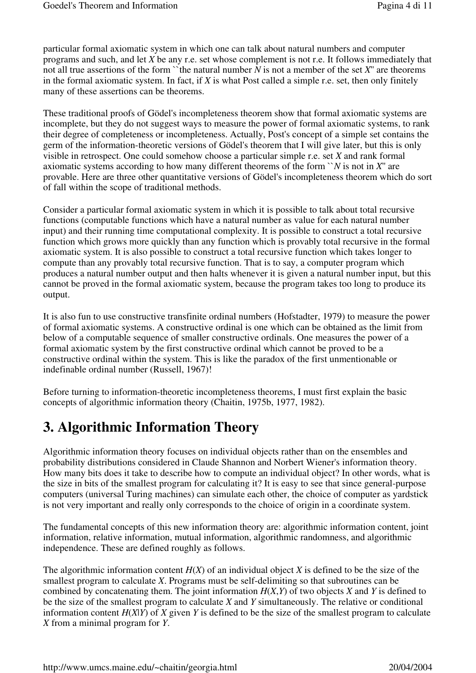particular formal axiomatic system in which one can talk about natural numbers and computer programs and such, and let *X* be any r.e. set whose complement is not r.e. It follows immediately that not all true assertions of the form ``the natural number *N* is not a member of the set *X*'' are theorems in the formal axiomatic system. In fact, if *X* is what Post called a simple r.e. set, then only finitely many of these assertions can be theorems.

These traditional proofs of Gödel's incompleteness theorem show that formal axiomatic systems are incomplete, but they do not suggest ways to measure the power of formal axiomatic systems, to rank their degree of completeness or incompleteness. Actually, Post's concept of a simple set contains the germ of the information-theoretic versions of Gödel's theorem that I will give later, but this is only visible in retrospect. One could somehow choose a particular simple r.e. set *X* and rank formal axiomatic systems according to how many different theorems of the form ``*N* is not in *X*'' are provable. Here are three other quantitative versions of Gödel's incompleteness theorem which do sort of fall within the scope of traditional methods.

Consider a particular formal axiomatic system in which it is possible to talk about total recursive functions (computable functions which have a natural number as value for each natural number input) and their running time computational complexity. It is possible to construct a total recursive function which grows more quickly than any function which is provably total recursive in the formal axiomatic system. It is also possible to construct a total recursive function which takes longer to compute than any provably total recursive function. That is to say, a computer program which produces a natural number output and then halts whenever it is given a natural number input, but this cannot be proved in the formal axiomatic system, because the program takes too long to produce its output.

It is also fun to use constructive transfinite ordinal numbers (Hofstadter, 1979) to measure the power of formal axiomatic systems. A constructive ordinal is one which can be obtained as the limit from below of a computable sequence of smaller constructive ordinals. One measures the power of a formal axiomatic system by the first constructive ordinal which cannot be proved to be a constructive ordinal within the system. This is like the paradox of the first unmentionable or indefinable ordinal number (Russell, 1967)!

Before turning to information-theoretic incompleteness theorems, I must first explain the basic concepts of algorithmic information theory (Chaitin, 1975b, 1977, 1982).

# **3. Algorithmic Information Theory**

Algorithmic information theory focuses on individual objects rather than on the ensembles and probability distributions considered in Claude Shannon and Norbert Wiener's information theory. How many bits does it take to describe how to compute an individual object? In other words, what is the size in bits of the smallest program for calculating it? It is easy to see that since general-purpose computers (universal Turing machines) can simulate each other, the choice of computer as yardstick is not very important and really only corresponds to the choice of origin in a coordinate system.

The fundamental concepts of this new information theory are: algorithmic information content, joint information, relative information, mutual information, algorithmic randomness, and algorithmic independence. These are defined roughly as follows.

The algorithmic information content  $H(X)$  of an individual object X is defined to be the size of the smallest program to calculate *X*. Programs must be self-delimiting so that subroutines can be combined by concatenating them. The joint information  $H(X,Y)$  of two objects X and Y is defined to be the size of the smallest program to calculate *X* and *Y* simultaneously. The relative or conditional information content *H*(*X*|*Y*) of *X* given *Y* is defined to be the size of the smallest program to calculate *X* from a minimal program for *Y*.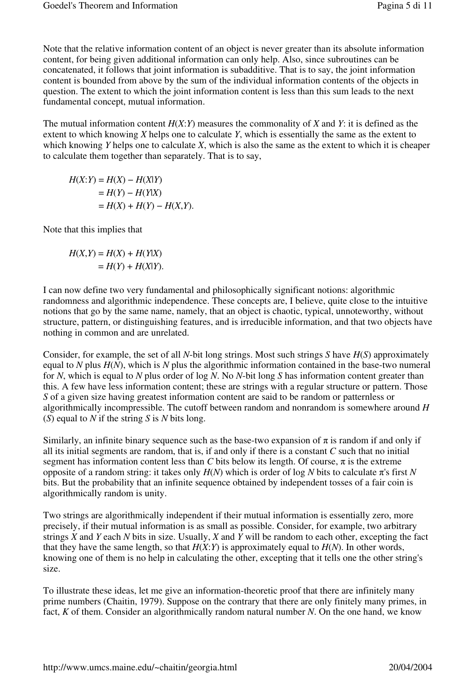Note that the relative information content of an object is never greater than its absolute information content, for being given additional information can only help. Also, since subroutines can be concatenated, it follows that joint information is subadditive. That is to say, the joint information content is bounded from above by the sum of the individual information contents of the objects in question. The extent to which the joint information content is less than this sum leads to the next fundamental concept, mutual information.

The mutual information content *H*(*X*:*Y*) measures the commonality of *X* and *Y*: it is defined as the extent to which knowing *X* helps one to calculate *Y*, which is essentially the same as the extent to which knowing *Y* helps one to calculate *X*, which is also the same as the extent to which it is cheaper to calculate them together than separately. That is to say,

 $H(X;Y) = H(X) - H(X|Y)$  $= H(Y) - H(Y|X)$  $= H(X) + H(Y) - H(X, Y).$ 

Note that this implies that

$$
H(X,Y) = H(X) + H(Y|X)
$$
  
= 
$$
H(Y) + H(X|Y).
$$

I can now define two very fundamental and philosophically significant notions: algorithmic randomness and algorithmic independence. These concepts are, I believe, quite close to the intuitive notions that go by the same name, namely, that an object is chaotic, typical, unnoteworthy, without structure, pattern, or distinguishing features, and is irreducible information, and that two objects have nothing in common and are unrelated.

Consider, for example, the set of all *N*-bit long strings. Most such strings *S* have *H*(*S*) approximately equal to *N* plus *H*(*N*), which is *N* plus the algorithmic information contained in the base-two numeral for *N*, which is equal to *N* plus order of log *N*. No *N*-bit long *S* has information content greater than this. A few have less information content; these are strings with a regular structure or pattern. Those *S* of a given size having greatest information content are said to be random or patternless or algorithmically incompressible. The cutoff between random and nonrandom is somewhere around *H* (*S*) equal to *N* if the string *S* is *N* bits long.

Similarly, an infinite binary sequence such as the base-two expansion of  $\pi$  is random if and only if all its initial segments are random, that is, if and only if there is a constant *C* such that no initial segment has information content less than *C* bits below its length. Of course,  $\pi$  is the extreme opposite of a random string: it takes only *H*(*N*) which is order of log *N* bits to calculate π's first *N* bits. But the probability that an infinite sequence obtained by independent tosses of a fair coin is algorithmically random is unity.

Two strings are algorithmically independent if their mutual information is essentially zero, more precisely, if their mutual information is as small as possible. Consider, for example, two arbitrary strings *X* and *Y* each *N* bits in size. Usually, *X* and *Y* will be random to each other, excepting the fact that they have the same length, so that  $H(X;Y)$  is approximately equal to  $H(N)$ . In other words, knowing one of them is no help in calculating the other, excepting that it tells one the other string's size.

To illustrate these ideas, let me give an information-theoretic proof that there are infinitely many prime numbers (Chaitin, 1979). Suppose on the contrary that there are only finitely many primes, in fact, *K* of them. Consider an algorithmically random natural number *N*. On the one hand, we know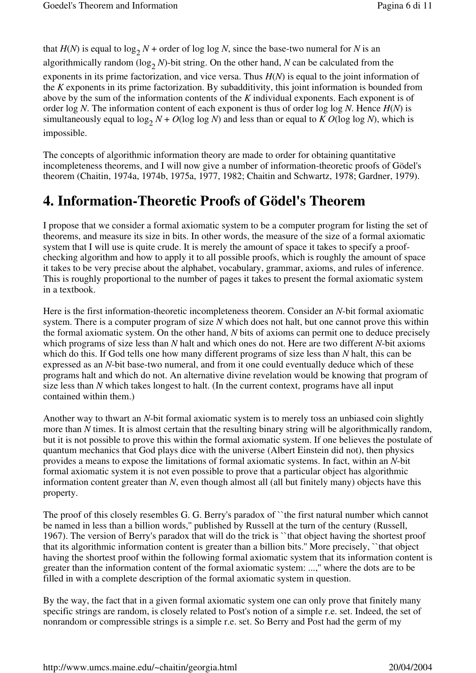that  $H(N)$  is equal to  $\log_2 N$  + order of log log *N*, since the base-two numeral for *N* is an algorithmically random  $(\log_2 N)$ -bit string. On the other hand, *N* can be calculated from the exponents in its prime factorization, and vice versa. Thus *H*(*N*) is equal to the joint information of the *K* exponents in its prime factorization. By subadditivity, this joint information is bounded from above by the sum of the information contents of the *K* individual exponents. Each exponent is of order log *N*. The information content of each exponent is thus of order log log *N*. Hence *H*(*N*) is simultaneously equal to  $\log_2 N + O(\log \log N)$  and less than or equal to *K*  $O(\log \log N)$ , which is impossible.

The concepts of algorithmic information theory are made to order for obtaining quantitative incompleteness theorems, and I will now give a number of information-theoretic proofs of Gödel's theorem (Chaitin, 1974a, 1974b, 1975a, 1977, 1982; Chaitin and Schwartz, 1978; Gardner, 1979).

## **4. Information-Theoretic Proofs of Gödel's Theorem**

I propose that we consider a formal axiomatic system to be a computer program for listing the set of theorems, and measure its size in bits. In other words, the measure of the size of a formal axiomatic system that I will use is quite crude. It is merely the amount of space it takes to specify a proofchecking algorithm and how to apply it to all possible proofs, which is roughly the amount of space it takes to be very precise about the alphabet, vocabulary, grammar, axioms, and rules of inference. This is roughly proportional to the number of pages it takes to present the formal axiomatic system in a textbook.

Here is the first information-theoretic incompleteness theorem. Consider an *N*-bit formal axiomatic system. There is a computer program of size *N* which does not halt, but one cannot prove this within the formal axiomatic system. On the other hand, *N* bits of axioms can permit one to deduce precisely which programs of size less than *N* halt and which ones do not. Here are two different *N*-bit axioms which do this. If God tells one how many different programs of size less than *N* halt, this can be expressed as an *N*-bit base-two numeral, and from it one could eventually deduce which of these programs halt and which do not. An alternative divine revelation would be knowing that program of size less than *N* which takes longest to halt. (In the current context, programs have all input contained within them.)

Another way to thwart an *N*-bit formal axiomatic system is to merely toss an unbiased coin slightly more than *N* times. It is almost certain that the resulting binary string will be algorithmically random, but it is not possible to prove this within the formal axiomatic system. If one believes the postulate of quantum mechanics that God plays dice with the universe (Albert Einstein did not), then physics provides a means to expose the limitations of formal axiomatic systems. In fact, within an *N*-bit formal axiomatic system it is not even possible to prove that a particular object has algorithmic information content greater than *N*, even though almost all (all but finitely many) objects have this property.

The proof of this closely resembles G. G. Berry's paradox of ``the first natural number which cannot be named in less than a billion words,'' published by Russell at the turn of the century (Russell, 1967). The version of Berry's paradox that will do the trick is ``that object having the shortest proof that its algorithmic information content is greater than a billion bits.'' More precisely, ``that object having the shortest proof within the following formal axiomatic system that its information content is greater than the information content of the formal axiomatic system: ...,'' where the dots are to be filled in with a complete description of the formal axiomatic system in question.

By the way, the fact that in a given formal axiomatic system one can only prove that finitely many specific strings are random, is closely related to Post's notion of a simple r.e. set. Indeed, the set of nonrandom or compressible strings is a simple r.e. set. So Berry and Post had the germ of my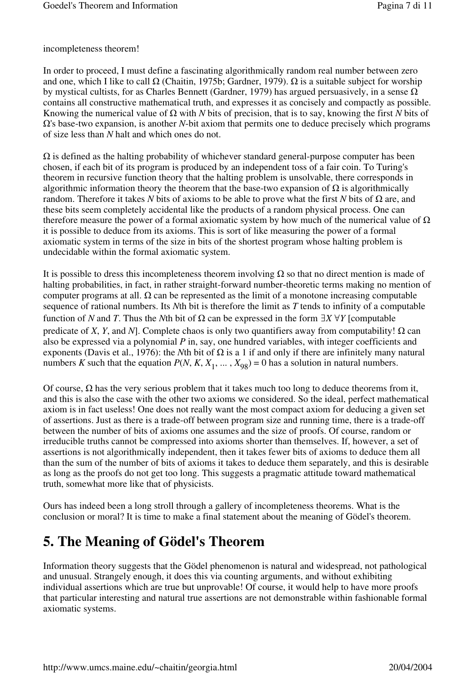incompleteness theorem!

In order to proceed, I must define a fascinating algorithmically random real number between zero and one, which I like to call  $\Omega$  (Chaitin, 1975b; Gardner, 1979).  $\Omega$  is a suitable subject for worship by mystical cultists, for as Charles Bennett (Gardner, 1979) has argued persuasively, in a sense  $\Omega$ contains all constructive mathematical truth, and expresses it as concisely and compactly as possible. Knowing the numerical value of Ω with *N* bits of precision, that is to say, knowing the first *N* bits of Ω's base-two expansion, is another *N*-bit axiom that permits one to deduce precisely which programs of size less than *N* halt and which ones do not.

 $\Omega$  is defined as the halting probability of whichever standard general-purpose computer has been chosen, if each bit of its program is produced by an independent toss of a fair coin. To Turing's theorem in recursive function theory that the halting problem is unsolvable, there corresponds in algorithmic information theory the theorem that the base-two expansion of  $\Omega$  is algorithmically random. Therefore it takes *N* bits of axioms to be able to prove what the first *N* bits of Ω are, and these bits seem completely accidental like the products of a random physical process. One can therefore measure the power of a formal axiomatic system by how much of the numerical value of  $\Omega$ it is possible to deduce from its axioms. This is sort of like measuring the power of a formal axiomatic system in terms of the size in bits of the shortest program whose halting problem is undecidable within the formal axiomatic system.

It is possible to dress this incompleteness theorem involving  $\Omega$  so that no direct mention is made of halting probabilities, in fact, in rather straight-forward number-theoretic terms making no mention of computer programs at all. Ω can be represented as the limit of a monotone increasing computable sequence of rational numbers. Its *N*th bit is therefore the limit as *T* tends to infinity of a computable function of *N* and *T*. Thus the *N*th bit of  $\Omega$  can be expressed in the form  $\exists X \forall Y$  [computable predicate of *X*, *Y*, and *N*]. Complete chaos is only two quantifiers away from computability!  $\Omega$  can also be expressed via a polynomial *P* in, say, one hundred variables, with integer coefficients and exponents (Davis et al., 1976): the *N*th bit of  $Ω$  is a 1 if and only if there are infinitely many natural numbers *K* such that the equation  $P(N, K, X_1, \ldots, X_{98}) = 0$  has a solution in natural numbers.

Of course,  $Ω$  has the very serious problem that it takes much too long to deduce theorems from it, and this is also the case with the other two axioms we considered. So the ideal, perfect mathematical axiom is in fact useless! One does not really want the most compact axiom for deducing a given set of assertions. Just as there is a trade-off between program size and running time, there is a trade-off between the number of bits of axioms one assumes and the size of proofs. Of course, random or irreducible truths cannot be compressed into axioms shorter than themselves. If, however, a set of assertions is not algorithmically independent, then it takes fewer bits of axioms to deduce them all than the sum of the number of bits of axioms it takes to deduce them separately, and this is desirable as long as the proofs do not get too long. This suggests a pragmatic attitude toward mathematical truth, somewhat more like that of physicists.

Ours has indeed been a long stroll through a gallery of incompleteness theorems. What is the conclusion or moral? It is time to make a final statement about the meaning of Gödel's theorem.

## **5. The Meaning of Gödel's Theorem**

Information theory suggests that the Gödel phenomenon is natural and widespread, not pathological and unusual. Strangely enough, it does this via counting arguments, and without exhibiting individual assertions which are true but unprovable! Of course, it would help to have more proofs that particular interesting and natural true assertions are not demonstrable within fashionable formal axiomatic systems.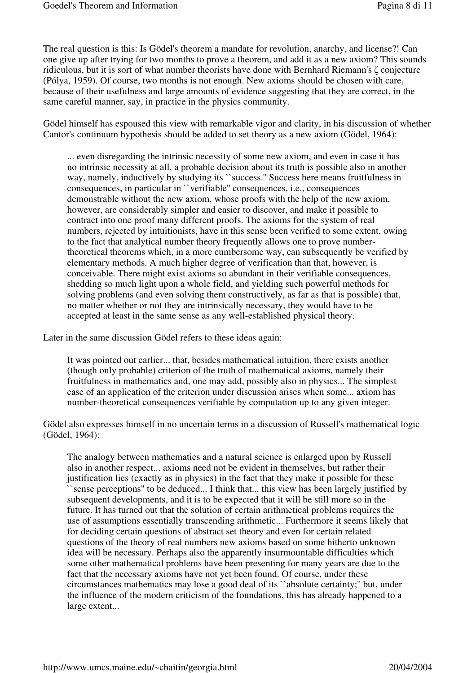The real question is this: Is Gödel's theorem a mandate for revolution, anarchy, and license?! Can one give up after trying for two months to prove a theorem, and add it as a new axiom? This sounds ridiculous, but it is sort of what number theorists have done with Bernhard Riemann's ζ conjecture (Pólya, 1959). Of course, two months is not enough. New axioms should be chosen with care, because of their usefulness and large amounts of evidence suggesting that they are correct, in the same careful manner, say, in practice in the physics community.

Gödel himself has espoused this view with remarkable vigor and clarity, in his discussion of whether Cantor's continuum hypothesis should be added to set theory as a new axiom (Gödel, 1964):

... even disregarding the intrinsic necessity of some new axiom, and even in case it has no intrinsic necessity at all, a probable decision about its truth is possible also in another way, namely, inductively by studying its ``success.'' Success here means fruitfulness in consequences, in particular in ``verifiable'' consequences, i.e., consequences demonstrable without the new axiom, whose proofs with the help of the new axiom, however, are considerably simpler and easier to discover, and make it possible to contract into one proof many different proofs. The axioms for the system of real numbers, rejected by intuitionists, have in this sense been verified to some extent, owing to the fact that analytical number theory frequently allows one to prove numbertheoretical theorems which, in a more cumbersome way, can subsequently be verified by elementary methods. A much higher degree of verification than that, however, is conceivable. There might exist axioms so abundant in their verifiable consequences, shedding so much light upon a whole field, and yielding such powerful methods for solving problems (and even solving them constructively, as far as that is possible) that, no matter whether or not they are intrinsically necessary, they would have to be accepted at least in the same sense as any well-established physical theory.

Later in the same discussion Gödel refers to these ideas again:

It was pointed out earlier... that, besides mathematical intuition, there exists another (though only probable) criterion of the truth of mathematical axioms, namely their fruitfulness in mathematics and, one may add, possibly also in physics... The simplest case of an application of the criterion under discussion arises when some... axiom has number-theoretical consequences verifiable by computation up to any given integer.

Gödel also expresses himself in no uncertain terms in a discussion of Russell's mathematical logic (Gödel, 1964):

The analogy between mathematics and a natural science is enlarged upon by Russell also in another respect... axioms need not be evident in themselves, but rather their justification lies (exactly as in physics) in the fact that they make it possible for these ``sense perceptions'' to be deduced... I think that... this view has been largely justified by subsequent developments, and it is to be expected that it will be still more so in the future. It has turned out that the solution of certain arithmetical problems requires the use of assumptions essentially transcending arithmetic... Furthermore it seems likely that for deciding certain questions of abstract set theory and even for certain related questions of the theory of real numbers new axioms based on some hitherto unknown idea will be necessary. Perhaps also the apparently insurmountable difficulties which some other mathematical problems have been presenting for many years are due to the fact that the necessary axioms have not yet been found. Of course, under these circumstances mathematics may lose a good deal of its ``absolute certainty;'' but, under the influence of the modern criticism of the foundations, this has already happened to a large extent...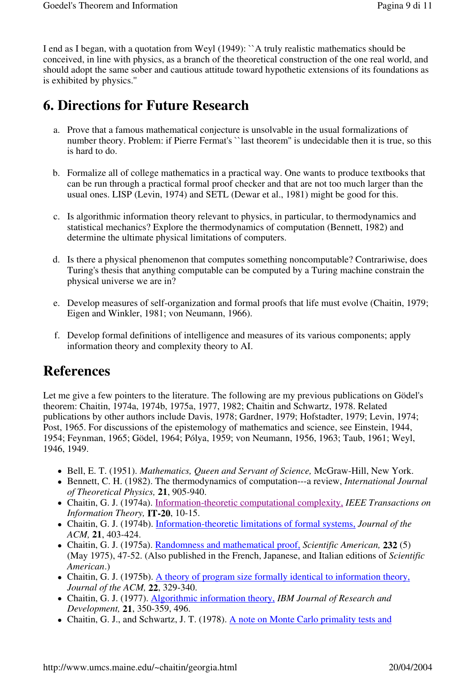I end as I began, with a quotation from Weyl (1949): ``A truly realistic mathematics should be conceived, in line with physics, as a branch of the theoretical construction of the one real world, and should adopt the same sober and cautious attitude toward hypothetic extensions of its foundations as is exhibited by physics.''

## **6. Directions for Future Research**

- a. Prove that a famous mathematical conjecture is unsolvable in the usual formalizations of number theory. Problem: if Pierre Fermat's ``last theorem'' is undecidable then it is true, so this is hard to do.
- b. Formalize all of college mathematics in a practical way. One wants to produce textbooks that can be run through a practical formal proof checker and that are not too much larger than the usual ones. LISP (Levin, 1974) and SETL (Dewar et al., 1981) might be good for this.
- c. Is algorithmic information theory relevant to physics, in particular, to thermodynamics and statistical mechanics? Explore the thermodynamics of computation (Bennett, 1982) and determine the ultimate physical limitations of computers.
- d. Is there a physical phenomenon that computes something noncomputable? Contrariwise, does Turing's thesis that anything computable can be computed by a Turing machine constrain the physical universe we are in?
- e. Develop measures of self-organization and formal proofs that life must evolve (Chaitin, 1979; Eigen and Winkler, 1981; von Neumann, 1966).
- f. Develop formal definitions of intelligence and measures of its various components; apply information theory and complexity theory to AI.

#### **References**

Let me give a few pointers to the literature. The following are my previous publications on Gödel's theorem: Chaitin, 1974a, 1974b, 1975a, 1977, 1982; Chaitin and Schwartz, 1978. Related publications by other authors include Davis, 1978; Gardner, 1979; Hofstadter, 1979; Levin, 1974; Post, 1965. For discussions of the epistemology of mathematics and science, see Einstein, 1944, 1954; Feynman, 1965; Gödel, 1964; Pólya, 1959; von Neumann, 1956, 1963; Taub, 1961; Weyl, 1946, 1949.

- Bell, E. T. (1951). *Mathematics, Queen and Servant of Science,* McGraw-Hill, New York.
- Bennett, C. H. (1982). The thermodynamics of computation---a review, *International Journal of Theoretical Physics,* **21**, 905-940.
- Chaitin, G. J. (1974a). Information-theoretic computational complexity, *IEEE Transactions on Information Theory,* **IT-20**, 10-15.
- Chaitin, G. J. (1974b). Information-theoretic limitations of formal systems, *Journal of the ACM,* **21**, 403-424.
- Chaitin, G. J. (1975a). Randomness and mathematical proof, *Scientific American,* **232** (5) (May 1975), 47-52. (Also published in the French, Japanese, and Italian editions of *Scientific American*.)
- Chaitin, G. J. (1975b). A theory of program size formally identical to information theory, *Journal of the ACM,* **22**, 329-340.
- Chaitin, G. J. (1977). Algorithmic information theory, *IBM Journal of Research and Development,* **21**, 350-359, 496.
- Chaitin, G. J., and Schwartz, J. T. (1978). A note on Monte Carlo primality tests and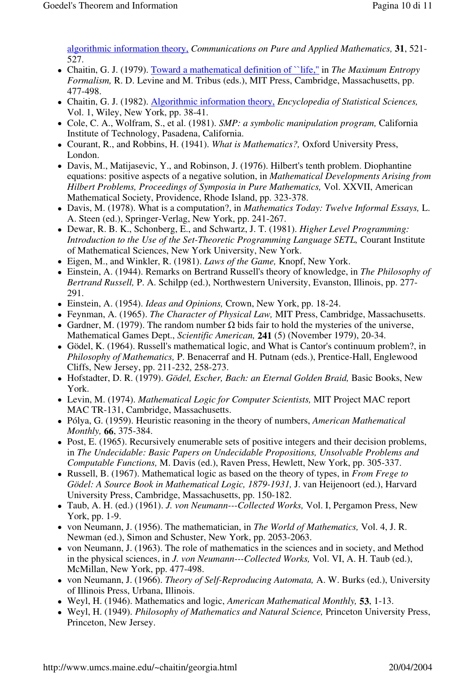algorithmic information theory, *Communications on Pure and Applied Mathematics,* **31**, 521- 527.

- Chaitin, G. J. (1979). Toward a mathematical definition of ``life,'' in *The Maximum Entropy Formalism,* R. D. Levine and M. Tribus (eds.), MIT Press, Cambridge, Massachusetts, pp. 477-498.
- Chaitin, G. J. (1982). Algorithmic information theory, *Encyclopedia of Statistical Sciences,* Vol. 1, Wiley, New York, pp. 38-41.
- Cole, C. A., Wolfram, S., et al. (1981). *SMP: a symbolic manipulation program,* California Institute of Technology, Pasadena, California.
- Courant, R., and Robbins, H. (1941). *What is Mathematics?,* Oxford University Press, London.
- Davis, M., Matijasevic, Y., and Robinson, J. (1976). Hilbert's tenth problem. Diophantine equations: positive aspects of a negative solution, in *Mathematical Developments Arising from Hilbert Problems, Proceedings of Symposia in Pure Mathematics,* Vol. XXVII, American Mathematical Society, Providence, Rhode Island, pp. 323-378.
- Davis, M. (1978). What is a computation?, in *Mathematics Today: Twelve Informal Essays,* L. A. Steen (ed.), Springer-Verlag, New York, pp. 241-267.
- Dewar, R. B. K., Schonberg, E., and Schwartz, J. T. (1981). *Higher Level Programming: Introduction to the Use of the Set-Theoretic Programming Language SETL,* Courant Institute of Mathematical Sciences, New York University, New York.
- Eigen, M., and Winkler, R. (1981). *Laws of the Game,* Knopf, New York.
- Einstein, A. (1944). Remarks on Bertrand Russell's theory of knowledge, in *The Philosophy of Bertrand Russell,* P. A. Schilpp (ed.), Northwestern University, Evanston, Illinois, pp. 277- 291.
- Einstein, A. (1954). *Ideas and Opinions,* Crown, New York, pp. 18-24.
- Feynman, A. (1965). *The Character of Physical Law,* MIT Press, Cambridge, Massachusetts.
- Gardner, M. (1979). The random number  $\Omega$  bids fair to hold the mysteries of the universe, Mathematical Games Dept., *Scientific American,* **241** (5) (November 1979), 20-34.
- Gödel, K. (1964). Russell's mathematical logic, and What is Cantor's continuum problem?, in *Philosophy of Mathematics,* P. Benacerraf and H. Putnam (eds.), Prentice-Hall, Englewood Cliffs, New Jersey, pp. 211-232, 258-273.
- Hofstadter, D. R. (1979). *Gödel, Escher, Bach: an Eternal Golden Braid,* Basic Books, New York.
- Levin, M. (1974). *Mathematical Logic for Computer Scientists,* MIT Project MAC report MAC TR-131, Cambridge, Massachusetts.
- Pólya, G. (1959). Heuristic reasoning in the theory of numbers, *American Mathematical Monthly,* **66**, 375-384.
- Post, E. (1965). Recursively enumerable sets of positive integers and their decision problems, in *The Undecidable: Basic Papers on Undecidable Propositions, Unsolvable Problems and Computable Functions,* M. Davis (ed.), Raven Press, Hewlett, New York, pp. 305-337.
- Russell, B. (1967). Mathematical logic as based on the theory of types, in *From Frege to Gödel: A Source Book in Mathematical Logic, 1879-1931,* J. van Heijenoort (ed.), Harvard University Press, Cambridge, Massachusetts, pp. 150-182.
- Taub, A. H. (ed.) (1961). *J. von Neumann---Collected Works,* Vol. I, Pergamon Press, New York, pp. 1-9.
- von Neumann, J. (1956). The mathematician, in *The World of Mathematics,* Vol. 4, J. R. Newman (ed.), Simon and Schuster, New York, pp. 2053-2063.
- von Neumann, J. (1963). The role of mathematics in the sciences and in society, and Method in the physical sciences, in *J. von Neumann---Collected Works,* Vol. VI, A. H. Taub (ed.), McMillan, New York, pp. 477-498.
- von Neumann, J. (1966). *Theory of Self-Reproducing Automata,* A. W. Burks (ed.), University of Illinois Press, Urbana, Illinois.
- Weyl, H. (1946). Mathematics and logic, *American Mathematical Monthly,* **53**, 1-13.
- Weyl, H. (1949). *Philosophy of Mathematics and Natural Science,* Princeton University Press, Princeton, New Jersey.